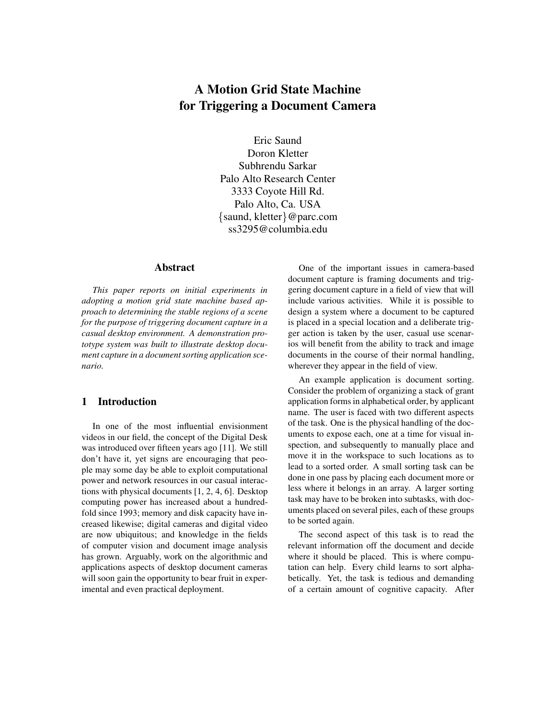# **A Motion Grid State Machine for Triggering a Document Camera**

Eric Saund Doron Kletter Subhrendu Sarkar Palo Alto Research Center 3333 Coyote Hill Rd. Palo Alto, Ca. USA *{*saund, kletter*}*@parc.com ss3295@columbia.edu

## **Abstract**

*This paper reports on initial experiments in adopting a motion grid state machine based approach to determining the stable regions of a scene for the purpose of triggering document capture in a casual desktop environment. A demonstration prototype system was built to illustrate desktop document capture in a document sorting application scenario.*

# **1 Introduction**

In one of the most influential envisionment videos in our field, the concept of the Digital Desk was introduced over fifteen years ago [11]. We still don't have it, yet signs are encouraging that people may some day be able to exploit computational power and network resources in our casual interactions with physical documents [1, 2, 4, 6]. Desktop computing power has increased about a hundredfold since 1993; memory and disk capacity have increased likewise; digital cameras and digital video are now ubiquitous; and knowledge in the fields of computer vision and document image analysis has grown. Arguably, work on the algorithmic and applications aspects of desktop document cameras will soon gain the opportunity to bear fruit in experimental and even practical deployment.

One of the important issues in camera-based document capture is framing documents and triggering document capture in a field of view that will include various activities. While it is possible to design a system where a document to be captured is placed in a special location and a deliberate trigger action is taken by the user, casual use scenarios will benefit from the ability to track and image documents in the course of their normal handling, wherever they appear in the field of view.

An example application is document sorting. Consider the problem of organizing a stack of grant application forms in alphabetical order, by applicant name. The user is faced with two different aspects of the task. One is the physical handling of the documents to expose each, one at a time for visual inspection, and subsequently to manually place and move it in the workspace to such locations as to lead to a sorted order. A small sorting task can be done in one pass by placing each document more or less where it belongs in an array. A larger sorting task may have to be broken into subtasks, with documents placed on several piles, each of these groups to be sorted again.

The second aspect of this task is to read the relevant information off the document and decide where it should be placed. This is where computation can help. Every child learns to sort alphabetically. Yet, the task is tedious and demanding of a certain amount of cognitive capacity. After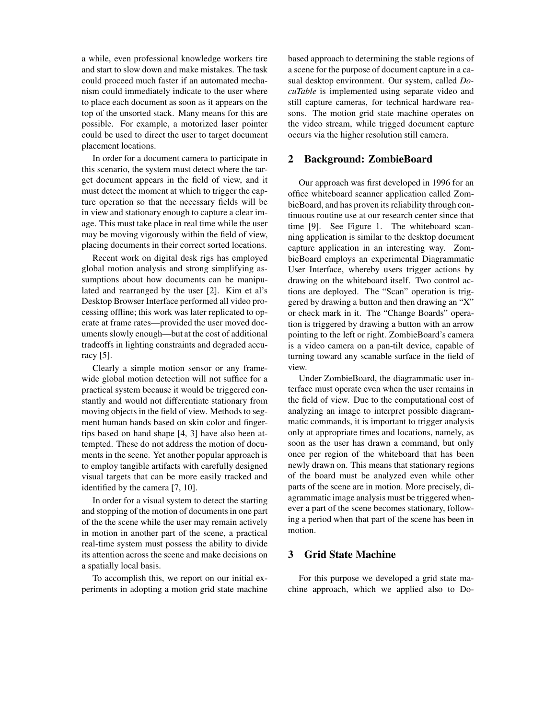a while, even professional knowledge workers tire and start to slow down and make mistakes. The task could proceed much faster if an automated mechanism could immediately indicate to the user where to place each document as soon as it appears on the top of the unsorted stack. Many means for this are possible. For example, a motorized laser pointer could be used to direct the user to target document placement locations.

In order for a document camera to participate in this scenario, the system must detect where the target document appears in the field of view, and it must detect the moment at which to trigger the capture operation so that the necessary fields will be in view and stationary enough to capture a clear image. This must take place in real time while the user may be moving vigorously within the field of view, placing documents in their correct sorted locations.

Recent work on digital desk rigs has employed global motion analysis and strong simplifying assumptions about how documents can be manipulated and rearranged by the user [2]. Kim et al's Desktop Browser Interface performed all video processing offline; this work was later replicated to operate at frame rates—provided the user moved documents slowly enough—but at the cost of additional tradeoffs in lighting constraints and degraded accuracy [5].

Clearly a simple motion sensor or any framewide global motion detection will not suffice for a practical system because it would be triggered constantly and would not differentiate stationary from moving objects in the field of view. Methods to segment human hands based on skin color and fingertips based on hand shape [4, 3] have also been attempted. These do not address the motion of documents in the scene. Yet another popular approach is to employ tangible artifacts with carefully designed visual targets that can be more easily tracked and identified by the camera [7, 10].

In order for a visual system to detect the starting and stopping of the motion of documents in one part of the the scene while the user may remain actively in motion in another part of the scene, a practical real-time system must possess the ability to divide its attention across the scene and make decisions on a spatially local basis.

To accomplish this, we report on our initial experiments in adopting a motion grid state machine

based approach to determining the stable regions of a scene for the purpose of document capture in a casual desktop environment. Our system, called *DocuTable* is implemented using separate video and still capture cameras, for technical hardware reasons. The motion grid state machine operates on the video stream, while trigged document capture occurs via the higher resolution still camera.

## **2 Background: ZombieBoard**

Our approach was first developed in 1996 for an office whiteboard scanner application called ZombieBoard, and has proven its reliability through continuous routine use at our research center since that time [9]. See Figure 1. The whiteboard scanning application is similar to the desktop document capture application in an interesting way. ZombieBoard employs an experimental Diagrammatic User Interface, whereby users trigger actions by drawing on the whiteboard itself. Two control actions are deployed. The "Scan" operation is triggered by drawing a button and then drawing an "X" or check mark in it. The "Change Boards" operation is triggered by drawing a button with an arrow pointing to the left or right. ZombieBoard's camera is a video camera on a pan-tilt device, capable of turning toward any scanable surface in the field of view.

Under ZombieBoard, the diagrammatic user interface must operate even when the user remains in the field of view. Due to the computational cost of analyzing an image to interpret possible diagrammatic commands, it is important to trigger analysis only at appropriate times and locations, namely, as soon as the user has drawn a command, but only once per region of the whiteboard that has been newly drawn on. This means that stationary regions of the board must be analyzed even while other parts of the scene are in motion. More precisely, diagrammatic image analysis must be triggered whenever a part of the scene becomes stationary, following a period when that part of the scene has been in motion.

## **3 Grid State Machine**

For this purpose we developed a grid state machine approach, which we applied also to Do-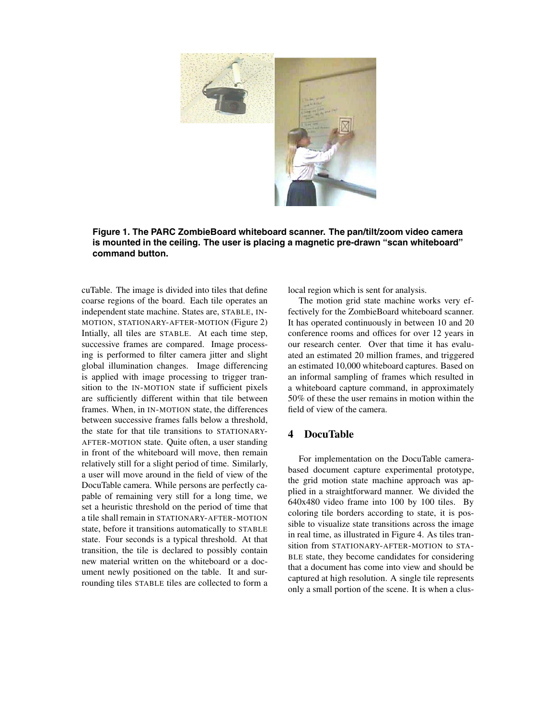

**Figure 1. The PARC ZombieBoard whiteboard scanner. The pan/tilt/zoom video camera is mounted in the ceiling. The user is placing a magnetic pre-drawn "scan whiteboard" command button.**

cuTable. The image is divided into tiles that define coarse regions of the board. Each tile operates an independent state machine. States are, STABLE, IN-MOTION, STATIONARY-AFTER-MOTION (Figure 2) Intially, all tiles are STABLE. At each time step, successive frames are compared. Image processing is performed to filter camera jitter and slight global illumination changes. Image differencing is applied with image processing to trigger transition to the IN-MOTION state if sufficient pixels are sufficiently different within that tile between frames. When, in IN-MOTION state, the differences between successive frames falls below a threshold, the state for that tile transitions to STATIONARY-AFTER-MOTION state. Quite often, a user standing in front of the whiteboard will move, then remain relatively still for a slight period of time. Similarly, a user will move around in the field of view of the DocuTable camera. While persons are perfectly capable of remaining very still for a long time, we set a heuristic threshold on the period of time that a tile shall remain in STATIONARY-AFTER-MOTION state, before it transitions automatically to STABLE state. Four seconds is a typical threshold. At that transition, the tile is declared to possibly contain new material written on the whiteboard or a document newly positioned on the table. It and surrounding tiles STABLE tiles are collected to form a local region which is sent for analysis.

The motion grid state machine works very effectively for the ZombieBoard whiteboard scanner. It has operated continuously in between 10 and 20 conference rooms and offices for over 12 years in our research center. Over that time it has evaluated an estimated 20 million frames, and triggered an estimated 10,000 whiteboard captures. Based on an informal sampling of frames which resulted in a whiteboard capture command, in approximately 50% of these the user remains in motion within the field of view of the camera.

# **4 DocuTable**

For implementation on the DocuTable camerabased document capture experimental prototype, the grid motion state machine approach was applied in a straightforward manner. We divided the 640x480 video frame into 100 by 100 tiles. By coloring tile borders according to state, it is possible to visualize state transitions across the image in real time, as illustrated in Figure 4. As tiles transition from STATIONARY-AFTER-MOTION to STA-BLE state, they become candidates for considering that a document has come into view and should be captured at high resolution. A single tile represents only a small portion of the scene. It is when a clus-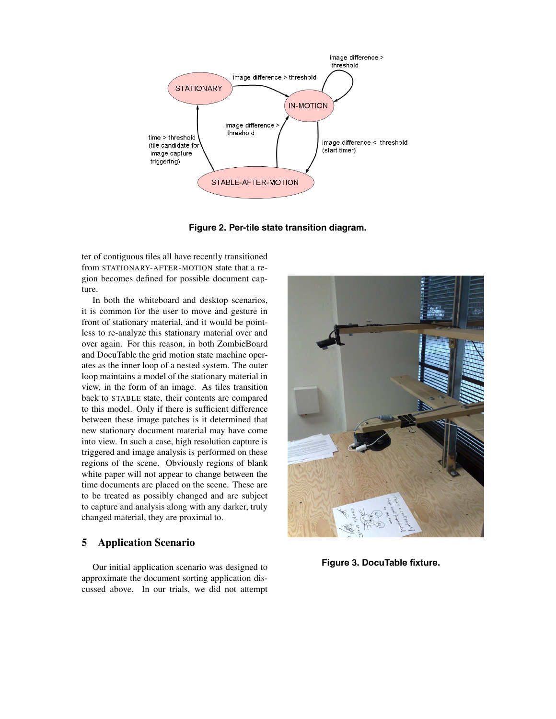

**Figure 2. Per-tile state transition diagram.**

ter of contiguous tiles all have recently transitioned from STATIONARY-AFTER-MOTION state that a region becomes defined for possible document capture.

In both the whiteboard and desktop scenarios, it is common for the user to move and gesture in front of stationary material, and it would be pointless to re-analyze this stationary material over and over again. For this reason, in both ZombieBoard and DocuTable the grid motion state machine operates as the inner loop of a nested system. The outer loop maintains a model of the stationary material in view, in the form of an image. As tiles transition back to STABLE state, their contents are compared to this model. Only if there is sufficient difference between these image patches is it determined that new stationary document material may have come into view. In such a case, high resolution capture is triggered and image analysis is performed on these regions of the scene. Obviously regions of blank white paper will not appear to change between the time documents are placed on the scene. These are to be treated as possibly changed and are subject to capture and analysis along with any darker, truly changed material, they are proximal to.

# **5 Application Scenario**

Our initial application scenario was designed to approximate the document sorting application discussed above. In our trials, we did not attempt



**Figure 3. DocuTable fixture.**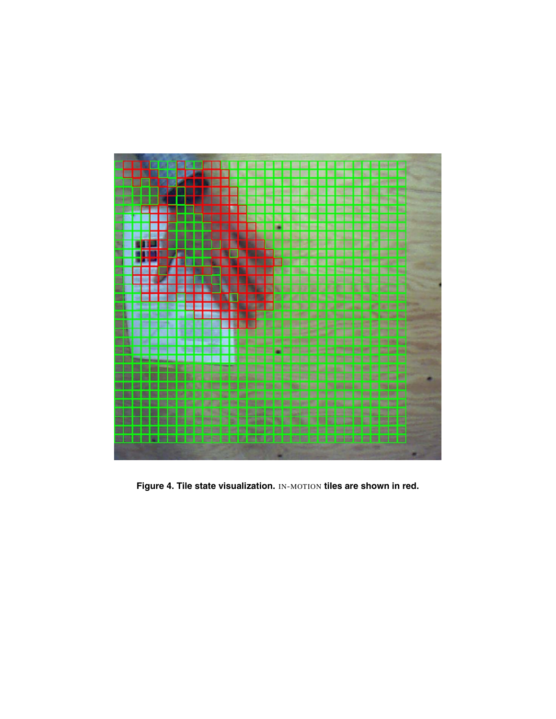

**Figure 4. Tile state visualization.** IN-MOTION **tiles are shown in red.**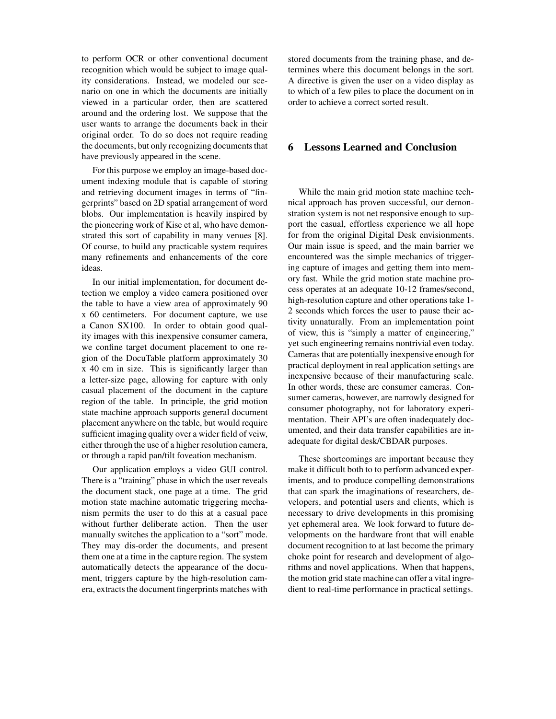to perform OCR or other conventional document recognition which would be subject to image quality considerations. Instead, we modeled our scenario on one in which the documents are initially viewed in a particular order, then are scattered around and the ordering lost. We suppose that the user wants to arrange the documents back in their original order. To do so does not require reading the documents, but only recognizing documents that have previously appeared in the scene.

For this purpose we employ an image-based document indexing module that is capable of storing and retrieving document images in terms of "fingerprints" based on 2D spatial arrangement of word blobs. Our implementation is heavily inspired by the pioneering work of Kise et al, who have demonstrated this sort of capability in many venues [8]. Of course, to build any practicable system requires many refinements and enhancements of the core ideas.

In our initial implementation, for document detection we employ a video camera positioned over the table to have a view area of approximately 90 x 60 centimeters. For document capture, we use a Canon SX100. In order to obtain good quality images with this inexpensive consumer camera, we confine target document placement to one region of the DocuTable platform approximately 30 x 40 cm in size. This is significantly larger than a letter-size page, allowing for capture with only casual placement of the document in the capture region of the table. In principle, the grid motion state machine approach supports general document placement anywhere on the table, but would require sufficient imaging quality over a wider field of veiw, either through the use of a higher resolution camera, or through a rapid pan/tilt foveation mechanism.

Our application employs a video GUI control. There is a "training" phase in which the user reveals the document stack, one page at a time. The grid motion state machine automatic triggering mechanism permits the user to do this at a casual pace without further deliberate action. Then the user manually switches the application to a "sort" mode. They may dis-order the documents, and present them one at a time in the capture region. The system automatically detects the appearance of the document, triggers capture by the high-resolution camera, extracts the document fingerprints matches with

stored documents from the training phase, and determines where this document belongs in the sort. A directive is given the user on a video display as to which of a few piles to place the document on in order to achieve a correct sorted result.

## **6 Lessons Learned and Conclusion**

While the main grid motion state machine technical approach has proven successful, our demonstration system is not net responsive enough to support the casual, effortless experience we all hope for from the original Digital Desk envisionments. Our main issue is speed, and the main barrier we encountered was the simple mechanics of triggering capture of images and getting them into memory fast. While the grid motion state machine process operates at an adequate 10-12 frames/second, high-resolution capture and other operations take 1- 2 seconds which forces the user to pause their activity unnaturally. From an implementation point of view, this is "simply a matter of engineering," yet such engineering remains nontrivial even today. Cameras that are potentially inexpensive enough for practical deployment in real application settings are inexpensive because of their manufacturing scale. In other words, these are consumer cameras. Consumer cameras, however, are narrowly designed for consumer photography, not for laboratory experimentation. Their API's are often inadequately documented, and their data transfer capabilities are inadequate for digital desk/CBDAR purposes.

These shortcomings are important because they make it difficult both to to perform advanced experiments, and to produce compelling demonstrations that can spark the imaginations of researchers, developers, and potential users and clients, which is necessary to drive developments in this promising yet ephemeral area. We look forward to future developments on the hardware front that will enable document recognition to at last become the primary choke point for research and development of algorithms and novel applications. When that happens, the motion grid state machine can offer a vital ingredient to real-time performance in practical settings.